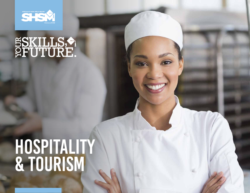

# SSKILLS,

## HOSPITALITY & TOURISM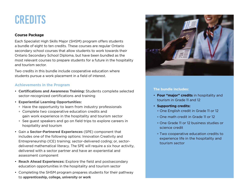## **CREDITS**

#### **Course Package**

Each Specialist High Skills Major (SHSM) program offers students a bundle of eight to ten credits. These courses are regular Ontario secondary school courses that allow students to work towards their Ontario Secondary School Diploma, but have been bundled as the most relevant courses to prepare students for a future in the hospitality and tourism sector.

Two credits in this bundle include cooperative education where students pursue a work placement in a field of interest.

#### **Achievements in the Program**

- **Certifications and Awareness Training:** Students complete selected sector-recognized certifications and training
- **Experiential Learning Opportunities:**
	- Have the opportunity to learn from industry professionals
	- Complete two cooperative education credits and gain work experience in the hospitality and tourism sector
	- See guest speakers and go on field trips to explore careers in hospitality and tourism
- Gain a **Sector-Partnered Experiences** (SPE) component that includes one of the following options: Innovation Creativity and Entrepreneurship (ICE) training; sector-delivered coding; or, sectordelivered mathematical literacy. The SPE will require a six hour activity, delivered with a sector partner and have an experiential and assessment component
- **Reach Ahead Experiences:** Explore the field and postsecondary education opportunities in the hospitality and tourism sector
- Completing the SHSM program prepares students for their pathway to **apprenticeship, college, university or work**



#### **The bundle includes:**

- **Four "major" credits** in hospitality and tourism in Grade 11 and 12
- **Supporting credits:**
	- One English credit in Grade 11 or 12
	- One math credit in Grade 11 or 12
	- One Grade 11 or 12 business studies or science credit
	- Two cooperative education credits to experience life in the hospitality and tourism sector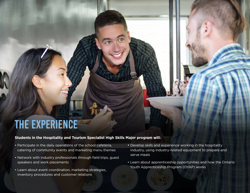## The Experience

#### **Students in the Hospitality and Tourism Specialist High Skills Major program will:**

- Participate in the daily operations of the school cafeteria, catering of community events and marketing menu themes
- Network with industry professionals through field trips, guest speakers and work placements
- Learn about event coordination, marketing strategies, inventory procedures and customer relations
- Develop skills and experience working in the hospitality industry, using industry-related equipment to prepare and serve meals
- Learn about apprenticeship opportunities and how the Ontario Youth Apprenticeship Program (OYAP) works